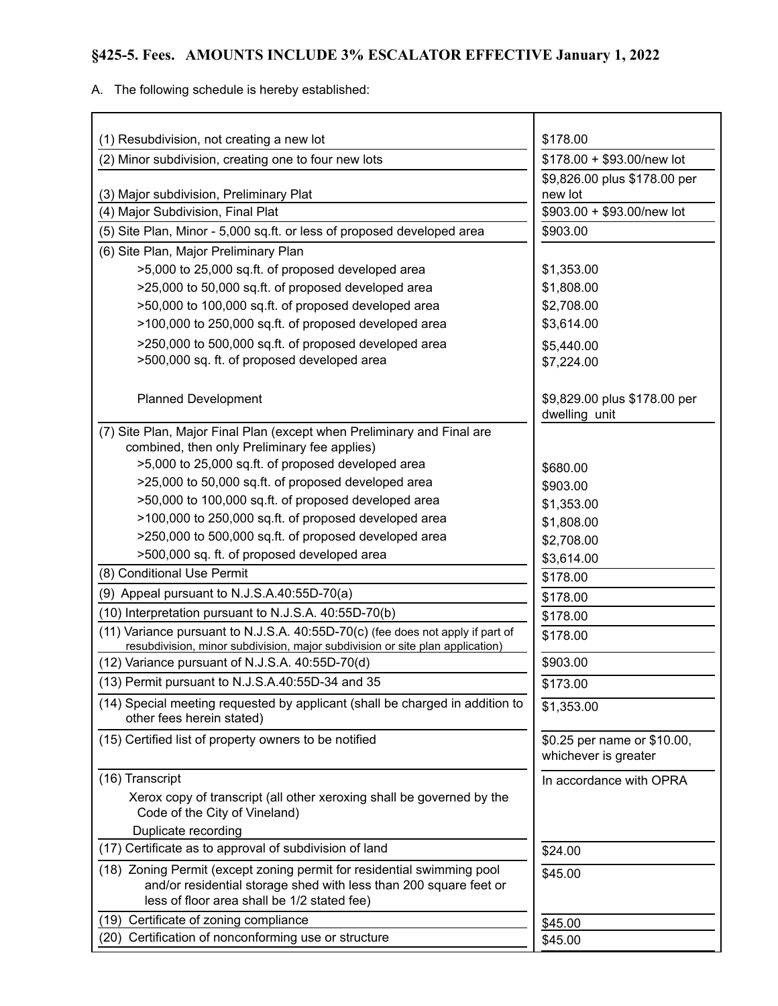## **§425-5. Fees. AMOUNTS INCLUDE 3% ESCALATOR EFFECTIVE January 1, 2022**

A. The following schedule is hereby established:

| (1) Resubdivision, not creating a new lot                                                                                                                                                  | \$178.00                                            |
|--------------------------------------------------------------------------------------------------------------------------------------------------------------------------------------------|-----------------------------------------------------|
| (2) Minor subdivision, creating one to four new lots                                                                                                                                       | \$178.00 + \$93.00/new lot                          |
|                                                                                                                                                                                            | \$9,826.00 plus \$178.00 per                        |
| (3) Major subdivision, Preliminary Plat                                                                                                                                                    | new lot                                             |
| (4) Major Subdivision, Final Plat                                                                                                                                                          | \$903.00 + \$93.00/new lot                          |
| (5) Site Plan, Minor - 5,000 sq.ft. or less of proposed developed area                                                                                                                     | \$903.00                                            |
| (6) Site Plan, Major Preliminary Plan                                                                                                                                                      |                                                     |
| >5,000 to 25,000 sq.ft. of proposed developed area                                                                                                                                         | \$1,353.00                                          |
| >25,000 to 50,000 sq.ft. of proposed developed area                                                                                                                                        | \$1,808.00                                          |
| >50,000 to 100,000 sq.ft. of proposed developed area                                                                                                                                       | \$2,708.00                                          |
| >100,000 to 250,000 sq.ft. of proposed developed area                                                                                                                                      | \$3,614.00                                          |
| >250,000 to 500,000 sq.ft. of proposed developed area                                                                                                                                      | \$5,440.00                                          |
| >500,000 sq. ft. of proposed developed area                                                                                                                                                | \$7,224.00                                          |
| <b>Planned Development</b>                                                                                                                                                                 | \$9,829.00 plus \$178.00 per<br>dwelling unit       |
| (7) Site Plan, Major Final Plan (except when Preliminary and Final are<br>combined, then only Preliminary fee applies)                                                                     |                                                     |
| >5,000 to 25,000 sq.ft. of proposed developed area                                                                                                                                         | \$680.00                                            |
| >25,000 to 50,000 sq.ft. of proposed developed area                                                                                                                                        | \$903.00                                            |
| >50,000 to 100,000 sq.ft. of proposed developed area                                                                                                                                       | \$1,353.00                                          |
| >100,000 to 250,000 sq.ft. of proposed developed area                                                                                                                                      | \$1,808.00                                          |
| >250,000 to 500,000 sq.ft. of proposed developed area                                                                                                                                      | \$2,708.00                                          |
| >500,000 sq. ft. of proposed developed area                                                                                                                                                | \$3,614.00                                          |
| (8) Conditional Use Permit                                                                                                                                                                 | \$178.00                                            |
| (9) Appeal pursuant to N.J.S.A.40:55D-70(a)                                                                                                                                                | \$178.00                                            |
| (10) Interpretation pursuant to N.J.S.A. 40:55D-70(b)                                                                                                                                      | \$178.00                                            |
| (11) Variance pursuant to N.J.S.A. 40:55D-70(c) (fee does not apply if part of<br>resubdivision, minor subdivision, major subdivision or site plan application)                            | \$178.00                                            |
| (12) Variance pursuant of N.J.S.A. 40:55D-70(d)                                                                                                                                            | \$903.00                                            |
| (13) Permit pursuant to N.J.S.A.40:55D-34 and 35                                                                                                                                           | \$173.00                                            |
| (14) Special meeting requested by applicant (shall be charged in addition to<br>other fees herein stated)                                                                                  | \$1,353.00                                          |
| (15) Certified list of property owners to be notified                                                                                                                                      | \$0.25 per name or \$10.00,<br>whichever is greater |
| (16) Transcript                                                                                                                                                                            | In accordance with OPRA                             |
| Xerox copy of transcript (all other xeroxing shall be governed by the<br>Code of the City of Vineland)                                                                                     |                                                     |
| Duplicate recording                                                                                                                                                                        |                                                     |
| (17) Certificate as to approval of subdivision of land                                                                                                                                     | \$24.00                                             |
| (18) Zoning Permit (except zoning permit for residential swimming pool<br>and/or residential storage shed with less than 200 square feet or<br>less of floor area shall be 1/2 stated fee) | \$45.00                                             |
| Certificate of zoning compliance<br>(19)                                                                                                                                                   | \$45.00                                             |
| (20) Certification of nonconforming use or structure                                                                                                                                       | \$45.00                                             |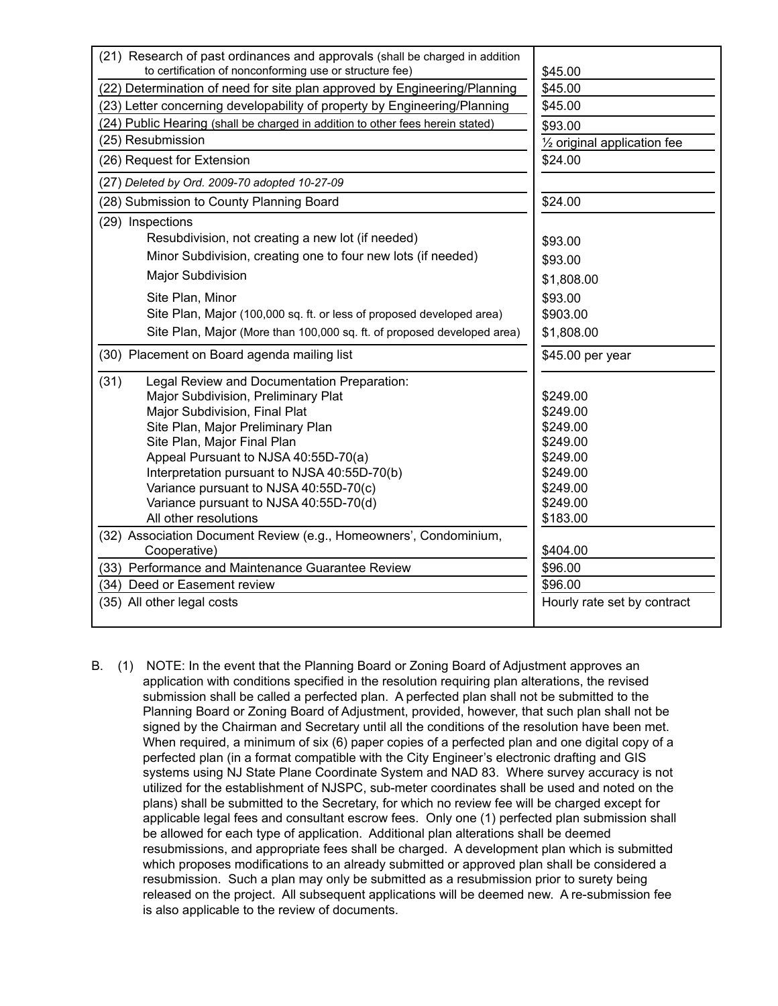| (21) Research of past ordinances and approvals (shall be charged in addition<br>to certification of nonconforming use or structure fee)<br>\$45.00<br>\$45.00<br>(22) Determination of need for site plan approved by Engineering/Planning<br>(23) Letter concerning developability of property by Engineering/Planning<br>\$45.00<br>(24) Public Hearing (shall be charged in addition to other fees herein stated)<br>\$93.00<br>(25) Resubmission<br>1/2 original application fee<br>(26) Request for Extension<br>\$24.00<br>(27) Deleted by Ord. 2009-70 adopted 10-27-09<br>(28) Submission to County Planning Board<br>\$24.00<br>(29) Inspections<br>Resubdivision, not creating a new lot (if needed)<br>\$93.00<br>Minor Subdivision, creating one to four new lots (if needed)<br>\$93.00<br>Major Subdivision<br>\$1,808.00<br>Site Plan, Minor<br>\$93.00<br>Site Plan, Major (100,000 sq. ft. or less of proposed developed area)<br>\$903.00<br>Site Plan, Major (More than 100,000 sq. ft. of proposed developed area)<br>\$1,808.00<br>(30) Placement on Board agenda mailing list<br>\$45.00 per year<br>(31)<br>Legal Review and Documentation Preparation:<br>Major Subdivision, Preliminary Plat<br>\$249.00<br>Major Subdivision, Final Plat<br>\$249.00<br>Site Plan, Major Preliminary Plan<br>\$249.00<br>Site Plan, Major Final Plan<br>\$249.00<br>Appeal Pursuant to NJSA 40:55D-70(a)<br>\$249.00<br>Interpretation pursuant to NJSA 40:55D-70(b)<br>\$249.00<br>Variance pursuant to NJSA 40:55D-70(c)<br>\$249.00<br>Variance pursuant to NJSA 40:55D-70(d)<br>\$249.00<br>All other resolutions<br>\$183.00<br>(32) Association Document Review (e.g., Homeowners', Condominium,<br>Cooperative)<br>\$404.00<br>(33) Performance and Maintenance Guarantee Review<br>\$96.00<br>\$96.00<br>(34) Deed or Easement review<br>(35) All other legal costs<br>Hourly rate set by contract |  |
|----------------------------------------------------------------------------------------------------------------------------------------------------------------------------------------------------------------------------------------------------------------------------------------------------------------------------------------------------------------------------------------------------------------------------------------------------------------------------------------------------------------------------------------------------------------------------------------------------------------------------------------------------------------------------------------------------------------------------------------------------------------------------------------------------------------------------------------------------------------------------------------------------------------------------------------------------------------------------------------------------------------------------------------------------------------------------------------------------------------------------------------------------------------------------------------------------------------------------------------------------------------------------------------------------------------------------------------------------------------------------------------------------------------------------------------------------------------------------------------------------------------------------------------------------------------------------------------------------------------------------------------------------------------------------------------------------------------------------------------------------------------------------------------------------------------------------------------------------------------------------------------------------------------------|--|
|                                                                                                                                                                                                                                                                                                                                                                                                                                                                                                                                                                                                                                                                                                                                                                                                                                                                                                                                                                                                                                                                                                                                                                                                                                                                                                                                                                                                                                                                                                                                                                                                                                                                                                                                                                                                                                                                                                                      |  |
|                                                                                                                                                                                                                                                                                                                                                                                                                                                                                                                                                                                                                                                                                                                                                                                                                                                                                                                                                                                                                                                                                                                                                                                                                                                                                                                                                                                                                                                                                                                                                                                                                                                                                                                                                                                                                                                                                                                      |  |
|                                                                                                                                                                                                                                                                                                                                                                                                                                                                                                                                                                                                                                                                                                                                                                                                                                                                                                                                                                                                                                                                                                                                                                                                                                                                                                                                                                                                                                                                                                                                                                                                                                                                                                                                                                                                                                                                                                                      |  |
|                                                                                                                                                                                                                                                                                                                                                                                                                                                                                                                                                                                                                                                                                                                                                                                                                                                                                                                                                                                                                                                                                                                                                                                                                                                                                                                                                                                                                                                                                                                                                                                                                                                                                                                                                                                                                                                                                                                      |  |
|                                                                                                                                                                                                                                                                                                                                                                                                                                                                                                                                                                                                                                                                                                                                                                                                                                                                                                                                                                                                                                                                                                                                                                                                                                                                                                                                                                                                                                                                                                                                                                                                                                                                                                                                                                                                                                                                                                                      |  |
|                                                                                                                                                                                                                                                                                                                                                                                                                                                                                                                                                                                                                                                                                                                                                                                                                                                                                                                                                                                                                                                                                                                                                                                                                                                                                                                                                                                                                                                                                                                                                                                                                                                                                                                                                                                                                                                                                                                      |  |
|                                                                                                                                                                                                                                                                                                                                                                                                                                                                                                                                                                                                                                                                                                                                                                                                                                                                                                                                                                                                                                                                                                                                                                                                                                                                                                                                                                                                                                                                                                                                                                                                                                                                                                                                                                                                                                                                                                                      |  |
|                                                                                                                                                                                                                                                                                                                                                                                                                                                                                                                                                                                                                                                                                                                                                                                                                                                                                                                                                                                                                                                                                                                                                                                                                                                                                                                                                                                                                                                                                                                                                                                                                                                                                                                                                                                                                                                                                                                      |  |
|                                                                                                                                                                                                                                                                                                                                                                                                                                                                                                                                                                                                                                                                                                                                                                                                                                                                                                                                                                                                                                                                                                                                                                                                                                                                                                                                                                                                                                                                                                                                                                                                                                                                                                                                                                                                                                                                                                                      |  |
|                                                                                                                                                                                                                                                                                                                                                                                                                                                                                                                                                                                                                                                                                                                                                                                                                                                                                                                                                                                                                                                                                                                                                                                                                                                                                                                                                                                                                                                                                                                                                                                                                                                                                                                                                                                                                                                                                                                      |  |
|                                                                                                                                                                                                                                                                                                                                                                                                                                                                                                                                                                                                                                                                                                                                                                                                                                                                                                                                                                                                                                                                                                                                                                                                                                                                                                                                                                                                                                                                                                                                                                                                                                                                                                                                                                                                                                                                                                                      |  |
|                                                                                                                                                                                                                                                                                                                                                                                                                                                                                                                                                                                                                                                                                                                                                                                                                                                                                                                                                                                                                                                                                                                                                                                                                                                                                                                                                                                                                                                                                                                                                                                                                                                                                                                                                                                                                                                                                                                      |  |
|                                                                                                                                                                                                                                                                                                                                                                                                                                                                                                                                                                                                                                                                                                                                                                                                                                                                                                                                                                                                                                                                                                                                                                                                                                                                                                                                                                                                                                                                                                                                                                                                                                                                                                                                                                                                                                                                                                                      |  |
|                                                                                                                                                                                                                                                                                                                                                                                                                                                                                                                                                                                                                                                                                                                                                                                                                                                                                                                                                                                                                                                                                                                                                                                                                                                                                                                                                                                                                                                                                                                                                                                                                                                                                                                                                                                                                                                                                                                      |  |
|                                                                                                                                                                                                                                                                                                                                                                                                                                                                                                                                                                                                                                                                                                                                                                                                                                                                                                                                                                                                                                                                                                                                                                                                                                                                                                                                                                                                                                                                                                                                                                                                                                                                                                                                                                                                                                                                                                                      |  |
|                                                                                                                                                                                                                                                                                                                                                                                                                                                                                                                                                                                                                                                                                                                                                                                                                                                                                                                                                                                                                                                                                                                                                                                                                                                                                                                                                                                                                                                                                                                                                                                                                                                                                                                                                                                                                                                                                                                      |  |
|                                                                                                                                                                                                                                                                                                                                                                                                                                                                                                                                                                                                                                                                                                                                                                                                                                                                                                                                                                                                                                                                                                                                                                                                                                                                                                                                                                                                                                                                                                                                                                                                                                                                                                                                                                                                                                                                                                                      |  |
|                                                                                                                                                                                                                                                                                                                                                                                                                                                                                                                                                                                                                                                                                                                                                                                                                                                                                                                                                                                                                                                                                                                                                                                                                                                                                                                                                                                                                                                                                                                                                                                                                                                                                                                                                                                                                                                                                                                      |  |
|                                                                                                                                                                                                                                                                                                                                                                                                                                                                                                                                                                                                                                                                                                                                                                                                                                                                                                                                                                                                                                                                                                                                                                                                                                                                                                                                                                                                                                                                                                                                                                                                                                                                                                                                                                                                                                                                                                                      |  |
|                                                                                                                                                                                                                                                                                                                                                                                                                                                                                                                                                                                                                                                                                                                                                                                                                                                                                                                                                                                                                                                                                                                                                                                                                                                                                                                                                                                                                                                                                                                                                                                                                                                                                                                                                                                                                                                                                                                      |  |
|                                                                                                                                                                                                                                                                                                                                                                                                                                                                                                                                                                                                                                                                                                                                                                                                                                                                                                                                                                                                                                                                                                                                                                                                                                                                                                                                                                                                                                                                                                                                                                                                                                                                                                                                                                                                                                                                                                                      |  |
|                                                                                                                                                                                                                                                                                                                                                                                                                                                                                                                                                                                                                                                                                                                                                                                                                                                                                                                                                                                                                                                                                                                                                                                                                                                                                                                                                                                                                                                                                                                                                                                                                                                                                                                                                                                                                                                                                                                      |  |
|                                                                                                                                                                                                                                                                                                                                                                                                                                                                                                                                                                                                                                                                                                                                                                                                                                                                                                                                                                                                                                                                                                                                                                                                                                                                                                                                                                                                                                                                                                                                                                                                                                                                                                                                                                                                                                                                                                                      |  |
|                                                                                                                                                                                                                                                                                                                                                                                                                                                                                                                                                                                                                                                                                                                                                                                                                                                                                                                                                                                                                                                                                                                                                                                                                                                                                                                                                                                                                                                                                                                                                                                                                                                                                                                                                                                                                                                                                                                      |  |
|                                                                                                                                                                                                                                                                                                                                                                                                                                                                                                                                                                                                                                                                                                                                                                                                                                                                                                                                                                                                                                                                                                                                                                                                                                                                                                                                                                                                                                                                                                                                                                                                                                                                                                                                                                                                                                                                                                                      |  |
|                                                                                                                                                                                                                                                                                                                                                                                                                                                                                                                                                                                                                                                                                                                                                                                                                                                                                                                                                                                                                                                                                                                                                                                                                                                                                                                                                                                                                                                                                                                                                                                                                                                                                                                                                                                                                                                                                                                      |  |
|                                                                                                                                                                                                                                                                                                                                                                                                                                                                                                                                                                                                                                                                                                                                                                                                                                                                                                                                                                                                                                                                                                                                                                                                                                                                                                                                                                                                                                                                                                                                                                                                                                                                                                                                                                                                                                                                                                                      |  |
|                                                                                                                                                                                                                                                                                                                                                                                                                                                                                                                                                                                                                                                                                                                                                                                                                                                                                                                                                                                                                                                                                                                                                                                                                                                                                                                                                                                                                                                                                                                                                                                                                                                                                                                                                                                                                                                                                                                      |  |
|                                                                                                                                                                                                                                                                                                                                                                                                                                                                                                                                                                                                                                                                                                                                                                                                                                                                                                                                                                                                                                                                                                                                                                                                                                                                                                                                                                                                                                                                                                                                                                                                                                                                                                                                                                                                                                                                                                                      |  |
|                                                                                                                                                                                                                                                                                                                                                                                                                                                                                                                                                                                                                                                                                                                                                                                                                                                                                                                                                                                                                                                                                                                                                                                                                                                                                                                                                                                                                                                                                                                                                                                                                                                                                                                                                                                                                                                                                                                      |  |
|                                                                                                                                                                                                                                                                                                                                                                                                                                                                                                                                                                                                                                                                                                                                                                                                                                                                                                                                                                                                                                                                                                                                                                                                                                                                                                                                                                                                                                                                                                                                                                                                                                                                                                                                                                                                                                                                                                                      |  |
|                                                                                                                                                                                                                                                                                                                                                                                                                                                                                                                                                                                                                                                                                                                                                                                                                                                                                                                                                                                                                                                                                                                                                                                                                                                                                                                                                                                                                                                                                                                                                                                                                                                                                                                                                                                                                                                                                                                      |  |
|                                                                                                                                                                                                                                                                                                                                                                                                                                                                                                                                                                                                                                                                                                                                                                                                                                                                                                                                                                                                                                                                                                                                                                                                                                                                                                                                                                                                                                                                                                                                                                                                                                                                                                                                                                                                                                                                                                                      |  |

B. (1) NOTE: In the event that the Planning Board or Zoning Board of Adjustment approves an application with conditions specified in the resolution requiring plan alterations, the revised submission shall be called a perfected plan. A perfected plan shall not be submitted to the Planning Board or Zoning Board of Adjustment, provided, however, that such plan shall not be signed by the Chairman and Secretary until all the conditions of the resolution have been met. When required, a minimum of six (6) paper copies of a perfected plan and one digital copy of a perfected plan (in a format compatible with the City Engineer's electronic drafting and GIS systems using NJ State Plane Coordinate System and NAD 83. Where survey accuracy is not utilized for the establishment of NJSPC, sub-meter coordinates shall be used and noted on the plans) shall be submitted to the Secretary, for which no review fee will be charged except for applicable legal fees and consultant escrow fees. Only one (1) perfected plan submission shall be allowed for each type of application. Additional plan alterations shall be deemed resubmissions, and appropriate fees shall be charged. A development plan which is submitted which proposes modifications to an already submitted or approved plan shall be considered a resubmission. Such a plan may only be submitted as a resubmission prior to surety being released on the project. All subsequent applications will be deemed new. A re-submission fee is also applicable to the review of documents.